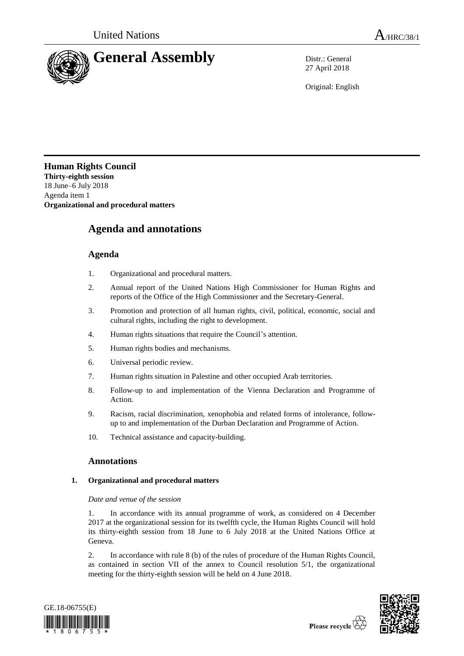

27 April 2018

Original: English

**Human Rights Council Thirty-eighth session** 18 June–6 July 2018 Agenda item 1 **Organizational and procedural matters**

# **Agenda and annotations**

## **Agenda**

- 1. Organizational and procedural matters.
- 2. Annual report of the United Nations High Commissioner for Human Rights and reports of the Office of the High Commissioner and the Secretary-General.
- 3. Promotion and protection of all human rights, civil, political, economic, social and cultural rights, including the right to development.
- 4. Human rights situations that require the Council's attention.
- 5. Human rights bodies and mechanisms.
- 6. Universal periodic review.
- 7. Human rights situation in Palestine and other occupied Arab territories.
- 8. Follow-up to and implementation of the Vienna Declaration and Programme of Action.
- 9. Racism, racial discrimination, xenophobia and related forms of intolerance, followup to and implementation of the Durban Declaration and Programme of Action.
- 10. Technical assistance and capacity-building.

## **Annotations**

## **1. Organizational and procedural matters**

## *Date and venue of the session*

1. In accordance with its annual programme of work, as considered on 4 December 2017 at the organizational session for its twelfth cycle, the Human Rights Council will hold its thirty-eighth session from 18 June to 6 July 2018 at the United Nations Office at Geneva.

2. In accordance with rule 8 (b) of the rules of procedure of the Human Rights Council, as contained in section VII of the annex to Council resolution 5/1, the organizational meeting for the thirty-eighth session will be held on 4 June 2018.



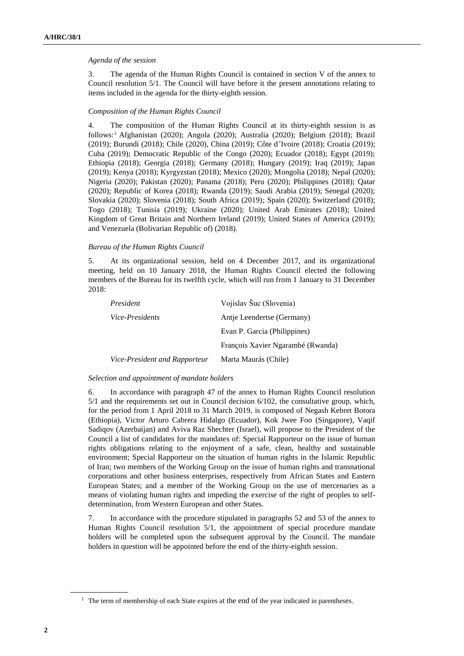## *Agenda of the session*

3. The agenda of the Human Rights Council is contained in section V of the annex to Council resolution 5/1. The Council will have before it the present annotations relating to items included in the agenda for the thirty-eighth session.

## *Composition of the Human Rights Council*

4. The composition of the Human Rights Council at its thirty-eighth session is as follows: <sup>1</sup> Afghanistan (2020); Angola (2020); Australia (2020); Belgium (2018); Brazil (2019); Burundi (2018); Chile (2020), China (2019); Côte d'Ivoire (2018); Croatia (2019); Cuba (2019); Democratic Republic of the Congo (2020); Ecuador (2018); Egypt (2019); Ethiopia (2018); Georgia (2018); Germany (2018); Hungary (2019); Iraq (2019); Japan (2019); Kenya (2018); Kyrgyzstan (2018); Mexico (2020); Mongolia (2018); Nepal (2020); Nigeria (2020); Pakistan (2020); Panama (2018); Peru (2020); Philippines (2018); Qatar (2020); Republic of Korea (2018); Rwanda (2019); Saudi Arabia (2019); Senegal (2020); Slovakia (2020); Slovenia (2018); South Africa (2019); Spain (2020); Switzerland (2018); Togo (2018); Tunisia (2019); Ukraine (2020); United Arab Emirates (2018); United Kingdom of Great Britain and Northern Ireland (2019); United States of America (2019); and Venezuela (Bolivarian Republic of) (2018).

## *Bureau of the Human Rights Council*

5. At its organizational session, held on 4 December 2017, and its organizational meeting, held on 10 January 2018, the Human Rights Council elected the following members of the Bureau for its twelfth cycle, which will run from 1 January to 31 December 2018:

| President                     | Vojislav Šuc (Slovenia)           |
|-------------------------------|-----------------------------------|
| Vice-Presidents               | Antie Leendertse (Germany)        |
|                               | Evan P. Garcia (Philippines)      |
|                               | François Xavier Ngarambé (Rwanda) |
| Vice-President and Rapporteur | Marta Maurás (Chile)              |

#### *Selection and appointment of mandate holders*

6. In accordance with paragraph 47 of the annex to Human Rights Council resolution 5/1 and the requirements set out in Council decision 6/102, the consultative group, which, for the period from 1 April 2018 to 31 March 2019, is composed of Negash Kebret Botora (Ethiopia), Victor Arturo Cabrera Hidalgo (Ecuador), Kok Jwee Foo (Singapore), Vaqif Sadiqov (Azerbaijan) and Aviva Raz Shechter (Israel), will propose to the President of the Council a list of candidates for the mandates of: Special Rapporteur on the issue of human rights obligations relating to the enjoyment of a safe, clean, healthy and sustainable environment; Special Rapporteur on the situation of human rights in the Islamic Republic of Iran; two members of the Working Group on the issue of human rights and transnational corporations and other business enterprises, respectively from African States and Eastern European States; and a member of the Working Group on the use of mercenaries as a means of violating human rights and impeding the exercise of the right of peoples to selfdetermination, from Western European and other States.

7. In accordance with the procedure stipulated in paragraphs 52 and 53 of the annex to Human Rights Council resolution 5/1, the appointment of special procedure mandate holders will be completed upon the subsequent approval by the Council. The mandate holders in question will be appointed before the end of the thirty-eighth session.

 $<sup>1</sup>$  The term of membership of each State expires at the end of the year indicated in parentheses.</sup>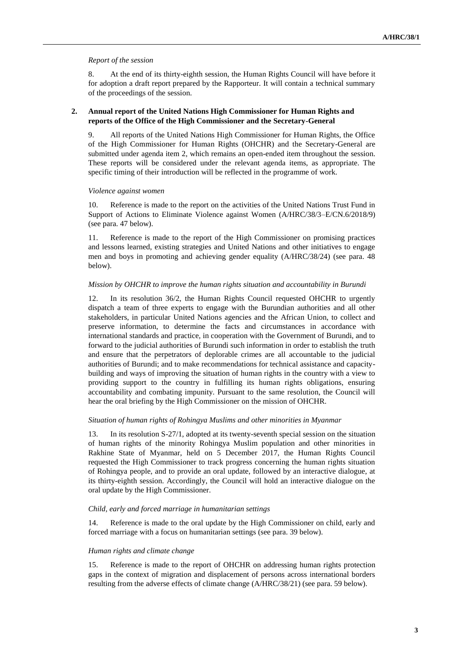## *Report of the session*

8. At the end of its thirty-eighth session, the Human Rights Council will have before it for adoption a draft report prepared by the Rapporteur. It will contain a technical summary of the proceedings of the session.

## **2. Annual report of the United Nations High Commissioner for Human Rights and reports of the Office of the High Commissioner and the Secretary-General**

9. All reports of the United Nations High Commissioner for Human Rights, the Office of the High Commissioner for Human Rights (OHCHR) and the Secretary-General are submitted under agenda item 2, which remains an open-ended item throughout the session. These reports will be considered under the relevant agenda items, as appropriate. The specific timing of their introduction will be reflected in the programme of work.

#### *Violence against women*

10. Reference is made to the report on the activities of the United Nations Trust Fund in Support of Actions to Eliminate Violence against Women (A/HRC/38/3–E/CN.6/2018/9) (see para. 47 below).

11. Reference is made to the report of the High Commissioner on promising practices and lessons learned, existing strategies and United Nations and other initiatives to engage men and boys in promoting and achieving gender equality (A/HRC/38/24) (see para. 48 below).

## *Mission by OHCHR to improve the human rights situation and accountability in Burundi*

12. In its resolution 36/2, the Human Rights Council requested OHCHR to urgently dispatch a team of three experts to engage with the Burundian authorities and all other stakeholders, in particular United Nations agencies and the African Union, to collect and preserve information, to determine the facts and circumstances in accordance with international standards and practice, in cooperation with the Government of Burundi, and to forward to the judicial authorities of Burundi such information in order to establish the truth and ensure that the perpetrators of deplorable crimes are all accountable to the judicial authorities of Burundi; and to make recommendations for technical assistance and capacitybuilding and ways of improving the situation of human rights in the country with a view to providing support to the country in fulfilling its human rights obligations, ensuring accountability and combating impunity. Pursuant to the same resolution, the Council will hear the oral briefing by the High Commissioner on the mission of OHCHR.

## *Situation of human rights of Rohingya Muslims and other minorities in Myanmar*

13. In its resolution S-27/1, adopted at its twenty-seventh special session on the situation of human rights of the minority Rohingya Muslim population and other minorities in Rakhine State of Myanmar, held on 5 December 2017, the Human Rights Council requested the High Commissioner to track progress concerning the human rights situation of Rohingya people, and to provide an oral update, followed by an interactive dialogue, at its thirty-eighth session. Accordingly, the Council will hold an interactive dialogue on the oral update by the High Commissioner.

#### *Child, early and forced marriage in humanitarian settings*

14. Reference is made to the oral update by the High Commissioner on child, early and forced marriage with a focus on humanitarian settings (see para. 39 below).

#### *Human rights and climate change*

15. Reference is made to the report of OHCHR on addressing human rights protection gaps in the context of migration and displacement of persons across international borders resulting from the adverse effects of climate change (A/HRC/38/21) (see para. 59 below).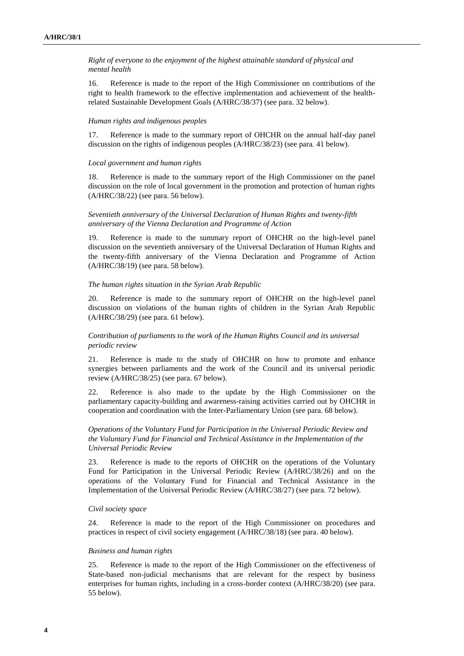*Right of everyone to the enjoyment of the highest attainable standard of physical and mental health*

16. Reference is made to the report of the High Commissioner on contributions of the right to health framework to the effective implementation and achievement of the healthrelated Sustainable Development Goals (A/HRC/38/37) (see para. 32 below).

## *Human rights and indigenous peoples*

17. Reference is made to the summary report of OHCHR on the annual half-day panel discussion on the rights of indigenous peoples (A/HRC/38/23) (see para. 41 below).

#### *Local government and human rights*

18. Reference is made to the summary report of the High Commissioner on the panel discussion on the role of local government in the promotion and protection of human rights (A/HRC/38/22) (see para. 56 below).

## *Seventieth anniversary of the Universal Declaration of Human Rights and twenty-fifth anniversary of the Vienna Declaration and Programme of Action*

19. Reference is made to the summary report of OHCHR on the high-level panel discussion on the seventieth anniversary of the Universal Declaration of Human Rights and the twenty-fifth anniversary of the Vienna Declaration and Programme of Action (A/HRC/38/19) (see para. 58 below).

#### *The human rights situation in the Syrian Arab Republic*

20. Reference is made to the summary report of OHCHR on the high-level panel discussion on violations of the human rights of children in the Syrian Arab Republic (A/HRC/38/29) (see para. 61 below).

## *Contribution of parliaments to the work of the Human Rights Council and its universal periodic review*

21. Reference is made to the study of OHCHR on how to promote and enhance synergies between parliaments and the work of the Council and its universal periodic review (A/HRC/38/25) (see para. 67 below).

22. Reference is also made to the update by the High Commissioner on the parliamentary capacity-building and awareness-raising activities carried out by OHCHR in cooperation and coordination with the Inter-Parliamentary Union (see para. 68 below).

*Operations of the Voluntary Fund for Participation in the Universal Periodic Review and the Voluntary Fund for Financial and Technical Assistance in the Implementation of the Universal Periodic Review*

23. Reference is made to the reports of OHCHR on the operations of the Voluntary Fund for Participation in the Universal Periodic Review (A/HRC/38/26) and on the operations of the Voluntary Fund for Financial and Technical Assistance in the Implementation of the Universal Periodic Review (A/HRC/38/27) (see para. 72 below).

#### *Civil society space*

24. Reference is made to the report of the High Commissioner on procedures and practices in respect of civil society engagement (A/HRC/38/18) (see para. 40 below).

### *Business and human rights*

25. Reference is made to the report of the High Commissioner on the effectiveness of State-based non-judicial mechanisms that are relevant for the respect by business enterprises for human rights, including in a cross-border context (A/HRC/38/20) (see para. 55 below).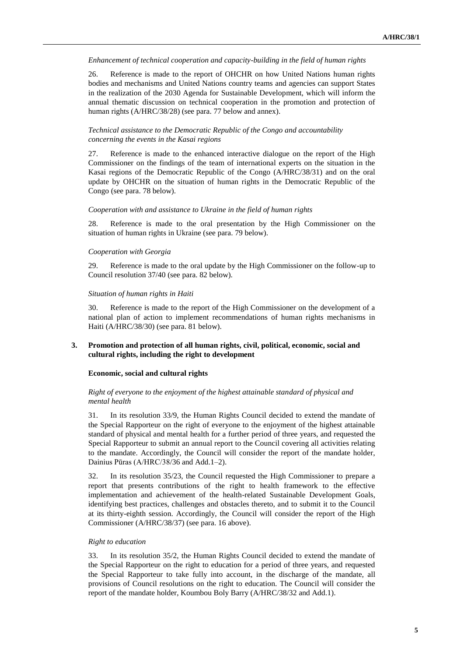## *Enhancement of technical cooperation and capacity-building in the field of human rights*

26. Reference is made to the report of OHCHR on how United Nations human rights bodies and mechanisms and United Nations country teams and agencies can support States in the realization of the 2030 Agenda for Sustainable Development, which will inform the annual thematic discussion on technical cooperation in the promotion and protection of human rights (A/HRC/38/28) (see para. 77 below and annex).

## *Technical assistance to the Democratic Republic of the Congo and accountability concerning the events in the Kasai regions*

27. Reference is made to the enhanced interactive dialogue on the report of the High Commissioner on the findings of the team of international experts on the situation in the Kasai regions of the Democratic Republic of the Congo (A/HRC/38/31) and on the oral update by OHCHR on the situation of human rights in the Democratic Republic of the Congo (see para. 78 below).

## *Cooperation with and assistance to Ukraine in the field of human rights*

28. Reference is made to the oral presentation by the High Commissioner on the situation of human rights in Ukraine (see para. 79 below).

## *Cooperation with Georgia*

29. Reference is made to the oral update by the High Commissioner on the follow-up to Council resolution 37/40 (see para. 82 below).

## *Situation of human rights in Haiti*

30. Reference is made to the report of the High Commissioner on the development of a national plan of action to implement recommendations of human rights mechanisms in Haiti (A/HRC/38/30) (see para. 81 below).

## **3. Promotion and protection of all human rights, civil, political, economic, social and cultural rights, including the right to development**

## **Economic, social and cultural rights**

## *Right of everyone to the enjoyment of the highest attainable standard of physical and mental health*

31. In its resolution 33/9, the Human Rights Council decided to extend the mandate of the Special Rapporteur on the right of everyone to the enjoyment of the highest attainable standard of physical and mental health for a further period of three years, and requested the Special Rapporteur to submit an annual report to the Council covering all activities relating to the mandate. Accordingly, the Council will consider the report of the mandate holder, Dainius Pūras (A/HRC/38/36 and Add.1–2).

32. In its resolution 35/23, the Council requested the High Commissioner to prepare a report that presents contributions of the right to health framework to the effective implementation and achievement of the health-related Sustainable Development Goals, identifying best practices, challenges and obstacles thereto, and to submit it to the Council at its thirty-eighth session. Accordingly, the Council will consider the report of the High Commissioner (A/HRC/38/37) (see para. 16 above).

## *Right to education*

33. In its resolution 35/2, the Human Rights Council decided to extend the mandate of the Special Rapporteur on the right to education for a period of three years, and requested the Special Rapporteur to take fully into account, in the discharge of the mandate, all provisions of Council resolutions on the right to education. The Council will consider the report of the mandate holder, Koumbou Boly Barry (A/HRC/38/32 and Add.1).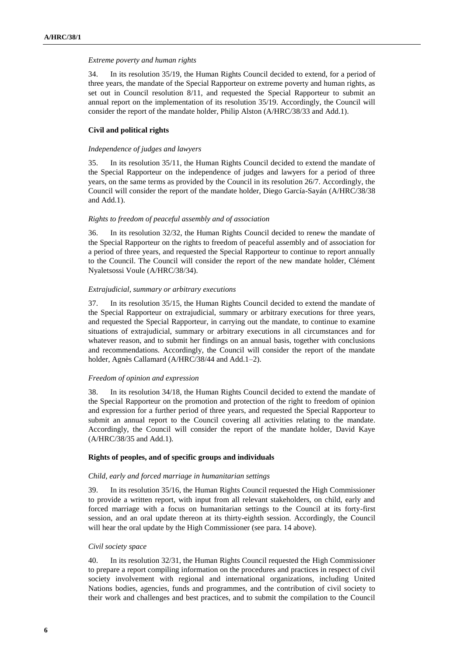#### *Extreme poverty and human rights*

34. In its resolution 35/19, the Human Rights Council decided to extend, for a period of three years, the mandate of the Special Rapporteur on extreme poverty and human rights, as set out in Council resolution 8/11, and requested the Special Rapporteur to submit an annual report on the implementation of its resolution 35/19. Accordingly, the Council will consider the report of the mandate holder, Philip Alston (A/HRC/38/33 and Add.1).

## **Civil and political rights**

## *Independence of judges and lawyers*

35. In its resolution 35/11, the Human Rights Council decided to extend the mandate of the Special Rapporteur on the independence of judges and lawyers for a period of three years, on the same terms as provided by the Council in its resolution 26/7. Accordingly, the Council will consider the report of the mandate holder, Diego García-Sayán (A/HRC/38/38 and Add.1).

## *Rights to freedom of peaceful assembly and of association*

36. In its resolution 32/32, the Human Rights Council decided to renew the mandate of the Special Rapporteur on the rights to freedom of peaceful assembly and of association for a period of three years, and requested the Special Rapporteur to continue to report annually to the Council. The Council will consider the report of the new mandate holder, Clément Nyaletsossi Voule (A/HRC/38/34).

#### *Extrajudicial, summary or arbitrary executions*

37. In its resolution 35/15, the Human Rights Council decided to extend the mandate of the Special Rapporteur on extrajudicial, summary or arbitrary executions for three years, and requested the Special Rapporteur, in carrying out the mandate, to continue to examine situations of extrajudicial, summary or arbitrary executions in all circumstances and for whatever reason, and to submit her findings on an annual basis, together with conclusions and recommendations. Accordingly, the Council will consider the report of the mandate holder, Agnès Callamard (A/HRC/38/44 and Add.1-2).

## *Freedom of opinion and expression*

38. In its resolution 34/18, the Human Rights Council decided to extend the mandate of the Special Rapporteur on the promotion and protection of the right to freedom of opinion and expression for a further period of three years, and requested the Special Rapporteur to submit an annual report to the Council covering all activities relating to the mandate. Accordingly, the Council will consider the report of the mandate holder, David Kaye (A/HRC/38/35 and Add.1).

## **Rights of peoples, and of specific groups and individuals**

#### *Child, early and forced marriage in humanitarian settings*

39. In its resolution 35/16, the Human Rights Council requested the High Commissioner to provide a written report, with input from all relevant stakeholders, on child, early and forced marriage with a focus on humanitarian settings to the Council at its forty-first session, and an oral update thereon at its thirty-eighth session. Accordingly, the Council will hear the oral update by the High Commissioner (see para. 14 above).

## *Civil society space*

40. In its resolution 32/31, the Human Rights Council requested the High Commissioner to prepare a report compiling information on the procedures and practices in respect of civil society involvement with regional and international organizations, including United Nations bodies, agencies, funds and programmes, and the contribution of civil society to their work and challenges and best practices, and to submit the compilation to the Council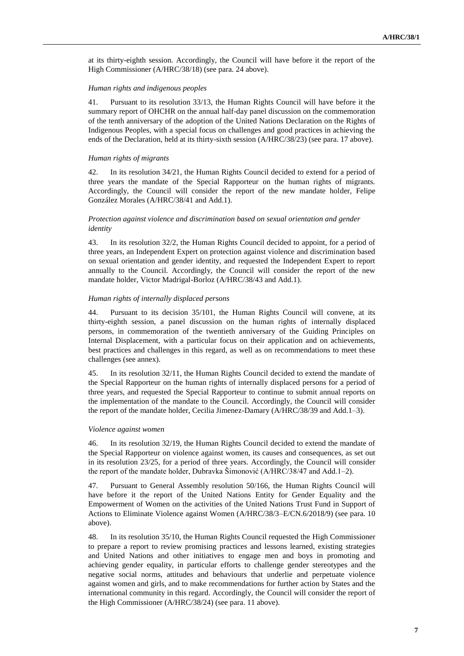at its thirty-eighth session. Accordingly, the Council will have before it the report of the High Commissioner (A/HRC/38/18) (see para. 24 above).

## *Human rights and indigenous peoples*

41. Pursuant to its resolution 33/13, the Human Rights Council will have before it the summary report of OHCHR on the annual half-day panel discussion on the commemoration of the tenth anniversary of the adoption of the United Nations Declaration on the Rights of Indigenous Peoples, with a special focus on challenges and good practices in achieving the ends of the Declaration, held at its thirty-sixth session (A/HRC/38/23) (see para. 17 above).

## *Human rights of migrants*

42. In its resolution 34/21, the Human Rights Council decided to extend for a period of three years the mandate of the Special Rapporteur on the human rights of migrants. Accordingly, the Council will consider the report of the new mandate holder, Felipe González Morales (A/HRC/38/41 and Add.1).

## *Protection against violence and discrimination based on sexual orientation and gender identity*

43. In its resolution 32/2, the Human Rights Council decided to appoint, for a period of three years, an Independent Expert on protection against violence and discrimination based on sexual orientation and gender identity, and requested the Independent Expert to report annually to the Council. Accordingly, the Council will consider the report of the new mandate holder, Victor Madrigal-Borloz (A/HRC/38/43 and Add.1).

#### *Human rights of internally displaced persons*

44. Pursuant to its decision 35/101, the Human Rights Council will convene, at its thirty-eighth session, a panel discussion on the human rights of internally displaced persons, in commemoration of the twentieth anniversary of the Guiding Principles on Internal Displacement, with a particular focus on their application and on achievements, best practices and challenges in this regard, as well as on recommendations to meet these challenges (see annex).

45. In its resolution 32/11, the Human Rights Council decided to extend the mandate of the Special Rapporteur on the human rights of internally displaced persons for a period of three years, and requested the Special Rapporteur to continue to submit annual reports on the implementation of the mandate to the Council. Accordingly, the Council will consider the report of the mandate holder, Cecilia Jimenez-Damary (A/HRC/38/39 and Add.1–3).

#### *Violence against women*

46. In its resolution 32/19, the Human Rights Council decided to extend the mandate of the Special Rapporteur on violence against women, its causes and consequences, as set out in its resolution 23/25, for a period of three years. Accordingly, the Council will consider the report of the mandate holder, Dubravka Šimonović (A/HRC/38/47 and Add.1–2).

47. Pursuant to General Assembly resolution 50/166, the Human Rights Council will have before it the report of the United Nations Entity for Gender Equality and the Empowerment of Women on the activities of the United Nations Trust Fund in Support of Actions to Eliminate Violence against Women (A/HRC/38/3–E/CN.6/2018/9) (see para. 10 above).

48. In its resolution 35/10, the Human Rights Council requested the High Commissioner to prepare a report to review promising practices and lessons learned, existing strategies and United Nations and other initiatives to engage men and boys in promoting and achieving gender equality, in particular efforts to challenge gender stereotypes and the negative social norms, attitudes and behaviours that underlie and perpetuate violence against women and girls, and to make recommendations for further action by States and the international community in this regard. Accordingly, the Council will consider the report of the High Commissioner (A/HRC/38/24) (see para. 11 above).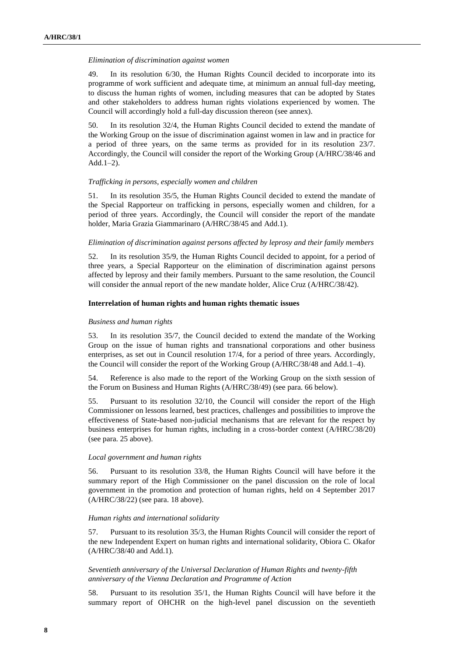#### *Elimination of discrimination against women*

49. In its resolution 6/30, the Human Rights Council decided to incorporate into its programme of work sufficient and adequate time, at minimum an annual full-day meeting, to discuss the human rights of women, including measures that can be adopted by States and other stakeholders to address human rights violations experienced by women. The Council will accordingly hold a full-day discussion thereon (see annex).

50. In its resolution 32/4, the Human Rights Council decided to extend the mandate of the Working Group on the issue of discrimination against women in law and in practice for a period of three years, on the same terms as provided for in its resolution 23/7. Accordingly, the Council will consider the report of the Working Group (A/HRC/38/46 and Add.1–2).

#### *Trafficking in persons, especially women and children*

51. In its resolution 35/5, the Human Rights Council decided to extend the mandate of the Special Rapporteur on trafficking in persons, especially women and children, for a period of three years. Accordingly, the Council will consider the report of the mandate holder, Maria Grazia Giammarinaro (A/HRC/38/45 and Add.1).

## *Elimination of discrimination against persons affected by leprosy and their family members*

52. In its resolution 35/9, the Human Rights Council decided to appoint, for a period of three years, a Special Rapporteur on the elimination of discrimination against persons affected by leprosy and their family members. Pursuant to the same resolution, the Council will consider the annual report of the new mandate holder, Alice Cruz (A/HRC/38/42).

## **Interrelation of human rights and human rights thematic issues**

#### *Business and human rights*

53. In its resolution 35/7, the Council decided to extend the mandate of the Working Group on the issue of human rights and transnational corporations and other business enterprises, as set out in Council resolution 17/4, for a period of three years. Accordingly, the Council will consider the report of the Working Group (A/HRC/38/48 and Add.1–4).

54. Reference is also made to the report of the Working Group on the sixth session of the Forum on Business and Human Rights (A/HRC/38/49) (see para. 66 below).

55. Pursuant to its resolution 32/10, the Council will consider the report of the High Commissioner on lessons learned, best practices, challenges and possibilities to improve the effectiveness of State-based non-judicial mechanisms that are relevant for the respect by business enterprises for human rights, including in a cross-border context (A/HRC/38/20) (see para. 25 above).

#### *Local government and human rights*

56. Pursuant to its resolution 33/8, the Human Rights Council will have before it the summary report of the High Commissioner on the panel discussion on the role of local government in the promotion and protection of human rights, held on 4 September 2017 (A/HRC/38/22) (see para. 18 above).

## *Human rights and international solidarity*

57. Pursuant to its resolution 35/3, the Human Rights Council will consider the report of the new Independent Expert on human rights and international solidarity, Obiora C. Okafor (A/HRC/38/40 and Add.1).

*Seventieth anniversary of the Universal Declaration of Human Rights and twenty-fifth anniversary of the Vienna Declaration and Programme of Action*

58. Pursuant to its resolution 35/1, the Human Rights Council will have before it the summary report of OHCHR on the high-level panel discussion on the seventieth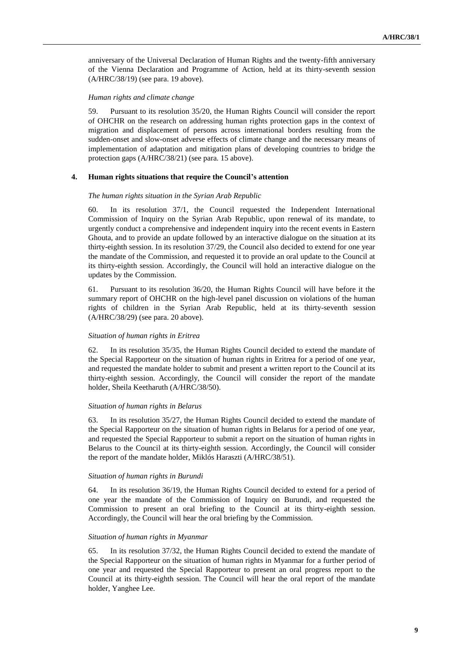anniversary of the Universal Declaration of Human Rights and the twenty-fifth anniversary of the Vienna Declaration and Programme of Action, held at its thirty-seventh session (A/HRC/38/19) (see para. 19 above).

## *Human rights and climate change*

59. Pursuant to its resolution 35/20, the Human Rights Council will consider the report of OHCHR on the research on addressing human rights protection gaps in the context of migration and displacement of persons across international borders resulting from the sudden-onset and slow-onset adverse effects of climate change and the necessary means of implementation of adaptation and mitigation plans of developing countries to bridge the protection gaps (A/HRC/38/21) (see para. 15 above).

## **4. Human rights situations that require the Council's attention**

#### *The human rights situation in the Syrian Arab Republic*

60. In its resolution 37/1, the Council requested the Independent International Commission of Inquiry on the Syrian Arab Republic, upon renewal of its mandate, to urgently conduct a comprehensive and independent inquiry into the recent events in Eastern Ghouta, and to provide an update followed by an interactive dialogue on the situation at its thirty-eighth session. In its resolution 37/29, the Council also decided to extend for one year the mandate of the Commission, and requested it to provide an oral update to the Council at its thirty-eighth session. Accordingly, the Council will hold an interactive dialogue on the updates by the Commission.

61. Pursuant to its resolution 36/20, the Human Rights Council will have before it the summary report of OHCHR on the high-level panel discussion on violations of the human rights of children in the Syrian Arab Republic, held at its thirty-seventh session (A/HRC/38/29) (see para. 20 above).

### *Situation of human rights in Eritrea*

62. In its resolution 35/35, the Human Rights Council decided to extend the mandate of the Special Rapporteur on the situation of human rights in Eritrea for a period of one year, and requested the mandate holder to submit and present a written report to the Council at its thirty-eighth session. Accordingly, the Council will consider the report of the mandate holder, Sheila Keetharuth (A/HRC/38/50).

#### *Situation of human rights in Belarus*

63. In its resolution 35/27, the Human Rights Council decided to extend the mandate of the Special Rapporteur on the situation of human rights in Belarus for a period of one year, and requested the Special Rapporteur to submit a report on the situation of human rights in Belarus to the Council at its thirty-eighth session. Accordingly, the Council will consider the report of the mandate holder, Miklós Haraszti (A/HRC/38/51).

## *Situation of human rights in Burundi*

64. In its resolution 36/19, the Human Rights Council decided to extend for a period of one year the mandate of the Commission of Inquiry on Burundi, and requested the Commission to present an oral briefing to the Council at its thirty-eighth session. Accordingly, the Council will hear the oral briefing by the Commission.

#### *Situation of human rights in Myanmar*

65. In its resolution 37/32, the Human Rights Council decided to extend the mandate of the Special Rapporteur on the situation of human rights in Myanmar for a further period of one year and requested the Special Rapporteur to present an oral progress report to the Council at its thirty-eighth session. The Council will hear the oral report of the mandate holder, Yanghee Lee.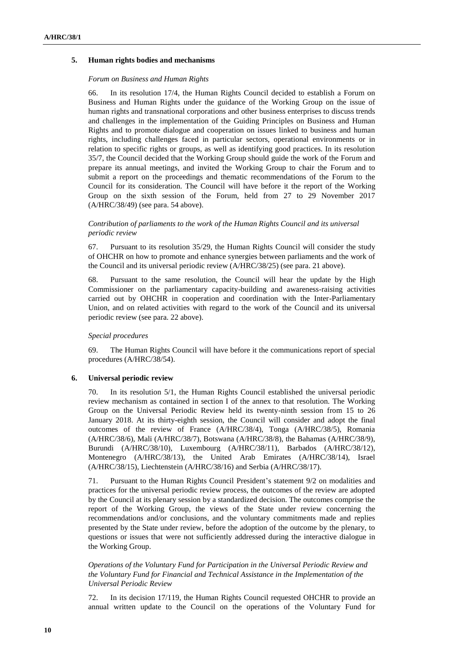## **5. Human rights bodies and mechanisms**

#### *Forum on Business and Human Rights*

66. In its resolution 17/4, the Human Rights Council decided to establish a Forum on Business and Human Rights under the guidance of the Working Group on the issue of human rights and transnational corporations and other business enterprises to discuss trends and challenges in the implementation of the Guiding Principles on Business and Human Rights and to promote dialogue and cooperation on issues linked to business and human rights, including challenges faced in particular sectors, operational environments or in relation to specific rights or groups, as well as identifying good practices. In its resolution 35/7, the Council decided that the Working Group should guide the work of the Forum and prepare its annual meetings, and invited the Working Group to chair the Forum and to submit a report on the proceedings and thematic recommendations of the Forum to the Council for its consideration. The Council will have before it the report of the Working Group on the sixth session of the Forum, held from 27 to 29 November 2017 (A/HRC/38/49) (see para. 54 above).

## *Contribution of parliaments to the work of the Human Rights Council and its universal periodic review*

67. Pursuant to its resolution 35/29, the Human Rights Council will consider the study of OHCHR on how to promote and enhance synergies between parliaments and the work of the Council and its universal periodic review (A/HRC/38/25) (see para. 21 above).

68. Pursuant to the same resolution, the Council will hear the update by the High Commissioner on the parliamentary capacity-building and awareness-raising activities carried out by OHCHR in cooperation and coordination with the Inter-Parliamentary Union, and on related activities with regard to the work of the Council and its universal periodic review (see para. 22 above).

## *Special procedures*

69. The Human Rights Council will have before it the communications report of special procedures (A/HRC/38/54).

#### **6. Universal periodic review**

70. In its resolution 5/1, the Human Rights Council established the universal periodic review mechanism as contained in section I of the annex to that resolution. The Working Group on the Universal Periodic Review held its twenty-ninth session from 15 to 26 January 2018. At its thirty-eighth session, the Council will consider and adopt the final outcomes of the review of France (A/HRC/38/4), Tonga (A/HRC/38/5), Romania (A/HRC/38/6), Mali (A/HRC/38/7), Botswana (A/HRC/38/8), the Bahamas (A/HRC/38/9), Burundi (A/HRC/38/10), Luxembourg (A/HRC/38/11), Barbados (A/HRC/38/12), Montenegro (A/HRC/38/13), the United Arab Emirates (A/HRC/38/14), Israel (A/HRC/38/15), Liechtenstein (A/HRC/38/16) and Serbia (A/HRC/38/17).

71. Pursuant to the Human Rights Council President's statement 9/2 on modalities and practices for the universal periodic review process, the outcomes of the review are adopted by the Council at its plenary session by a standardized decision. The outcomes comprise the report of the Working Group, the views of the State under review concerning the recommendations and/or conclusions, and the voluntary commitments made and replies presented by the State under review, before the adoption of the outcome by the plenary, to questions or issues that were not sufficiently addressed during the interactive dialogue in the Working Group.

## *Operations of the Voluntary Fund for Participation in the Universal Periodic Review and the Voluntary Fund for Financial and Technical Assistance in the Implementation of the Universal Periodic Review*

72. In its decision 17/119, the Human Rights Council requested OHCHR to provide an annual written update to the Council on the operations of the Voluntary Fund for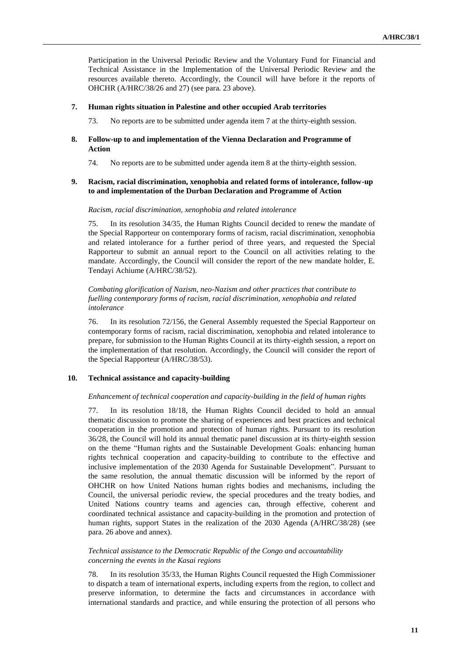Participation in the Universal Periodic Review and the Voluntary Fund for Financial and Technical Assistance in the Implementation of the Universal Periodic Review and the resources available thereto. Accordingly, the Council will have before it the reports of OHCHR (A/HRC/38/26 and 27) (see para. 23 above).

## **7. Human rights situation in Palestine and other occupied Arab territories**

73. No reports are to be submitted under agenda item 7 at the thirty-eighth session.

## **8. Follow-up to and implementation of the Vienna Declaration and Programme of Action**

74. No reports are to be submitted under agenda item 8 at the thirty-eighth session.

## **9. Racism, racial discrimination, xenophobia and related forms of intolerance, follow-up to and implementation of the Durban Declaration and Programme of Action**

## *Racism, racial discrimination, xenophobia and related intolerance*

75. In its resolution 34/35, the Human Rights Council decided to renew the mandate of the Special Rapporteur on contemporary forms of racism, racial discrimination, xenophobia and related intolerance for a further period of three years, and requested the Special Rapporteur to submit an annual report to the Council on all activities relating to the mandate. Accordingly, the Council will consider the report of the new mandate holder, E. Tendayi Achiume (A/HRC/38/52).

## *Combating glorification of Nazism, neo-Nazism and other practices that contribute to fuelling contemporary forms of racism, racial discrimination, xenophobia and related intolerance*

76. In its resolution 72/156, the General Assembly requested the Special Rapporteur on contemporary forms of racism, racial discrimination, xenophobia and related intolerance to prepare, for submission to the Human Rights Council at its thirty-eighth session, a report on the implementation of that resolution. Accordingly, the Council will consider the report of the Special Rapporteur (A/HRC/38/53).

## **10. Technical assistance and capacity-building**

## *Enhancement of technical cooperation and capacity-building in the field of human rights*

77. In its resolution 18/18, the Human Rights Council decided to hold an annual thematic discussion to promote the sharing of experiences and best practices and technical cooperation in the promotion and protection of human rights. Pursuant to its resolution 36/28, the Council will hold its annual thematic panel discussion at its thirty-eighth session on the theme "Human rights and the Sustainable Development Goals: enhancing human rights technical cooperation and capacity-building to contribute to the effective and inclusive implementation of the 2030 Agenda for Sustainable Development". Pursuant to the same resolution, the annual thematic discussion will be informed by the report of OHCHR on how United Nations human rights bodies and mechanisms, including the Council, the universal periodic review, the special procedures and the treaty bodies, and United Nations country teams and agencies can, through effective, coherent and coordinated technical assistance and capacity-building in the promotion and protection of human rights, support States in the realization of the 2030 Agenda (A/HRC/38/28) (see para. 26 above and annex).

## *Technical assistance to the Democratic Republic of the Congo and accountability concerning the events in the Kasai regions*

78. In its resolution 35/33, the Human Rights Council requested the High Commissioner to dispatch a team of international experts, including experts from the region, to collect and preserve information, to determine the facts and circumstances in accordance with international standards and practice, and while ensuring the protection of all persons who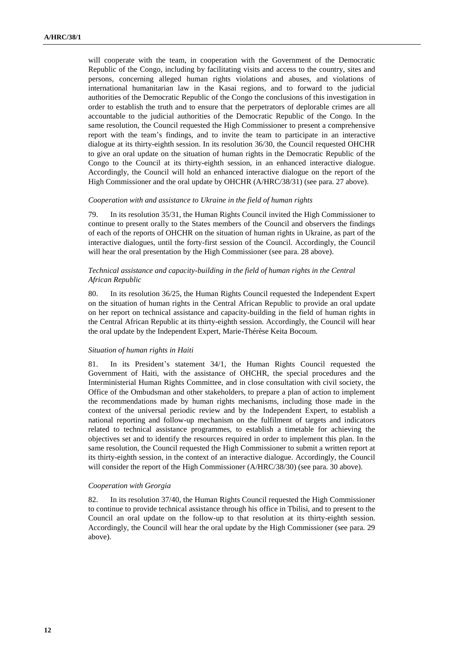will cooperate with the team, in cooperation with the Government of the Democratic Republic of the Congo, including by facilitating visits and access to the country, sites and persons, concerning alleged human rights violations and abuses, and violations of international humanitarian law in the Kasai regions, and to forward to the judicial authorities of the Democratic Republic of the Congo the conclusions of this investigation in order to establish the truth and to ensure that the perpetrators of deplorable crimes are all accountable to the judicial authorities of the Democratic Republic of the Congo. In the same resolution, the Council requested the High Commissioner to present a comprehensive report with the team's findings, and to invite the team to participate in an interactive dialogue at its thirty-eighth session. In its resolution 36/30, the Council requested OHCHR to give an oral update on the situation of human rights in the Democratic Republic of the Congo to the Council at its thirty-eighth session, in an enhanced interactive dialogue. Accordingly, the Council will hold an enhanced interactive dialogue on the report of the High Commissioner and the oral update by OHCHR (A/HRC/38/31) (see para. 27 above).

#### *Cooperation with and assistance to Ukraine in the field of human rights*

79. In its resolution 35/31, the Human Rights Council invited the High Commissioner to continue to present orally to the States members of the Council and observers the findings of each of the reports of OHCHR on the situation of human rights in Ukraine, as part of the interactive dialogues, until the forty-first session of the Council. Accordingly, the Council will hear the oral presentation by the High Commissioner (see para. 28 above).

## *Technical assistance and capacity-building in the field of human rights in the Central African Republic*

80. In its resolution 36/25, the Human Rights Council requested the Independent Expert on the situation of human rights in the Central African Republic to provide an oral update on her report on technical assistance and capacity-building in the field of human rights in the Central African Republic at its thirty-eighth session. Accordingly, the Council will hear the oral update by the Independent Expert, Marie-Thérèse Keita Bocoum.

## *Situation of human rights in Haiti*

81. In its President's statement 34/1, the Human Rights Council requested the Government of Haiti, with the assistance of OHCHR, the special procedures and the Interministerial Human Rights Committee, and in close consultation with civil society, the Office of the Ombudsman and other stakeholders, to prepare a plan of action to implement the recommendations made by human rights mechanisms, including those made in the context of the universal periodic review and by the Independent Expert, to establish a national reporting and follow-up mechanism on the fulfilment of targets and indicators related to technical assistance programmes, to establish a timetable for achieving the objectives set and to identify the resources required in order to implement this plan. In the same resolution, the Council requested the High Commissioner to submit a written report at its thirty-eighth session, in the context of an interactive dialogue. Accordingly, the Council will consider the report of the High Commissioner (A/HRC/38/30) (see para. 30 above).

#### *Cooperation with Georgia*

82. In its resolution 37/40, the Human Rights Council requested the High Commissioner to continue to provide technical assistance through his office in Tbilisi, and to present to the Council an oral update on the follow-up to that resolution at its thirty-eighth session. Accordingly, the Council will hear the oral update by the High Commissioner (see para. 29 above).